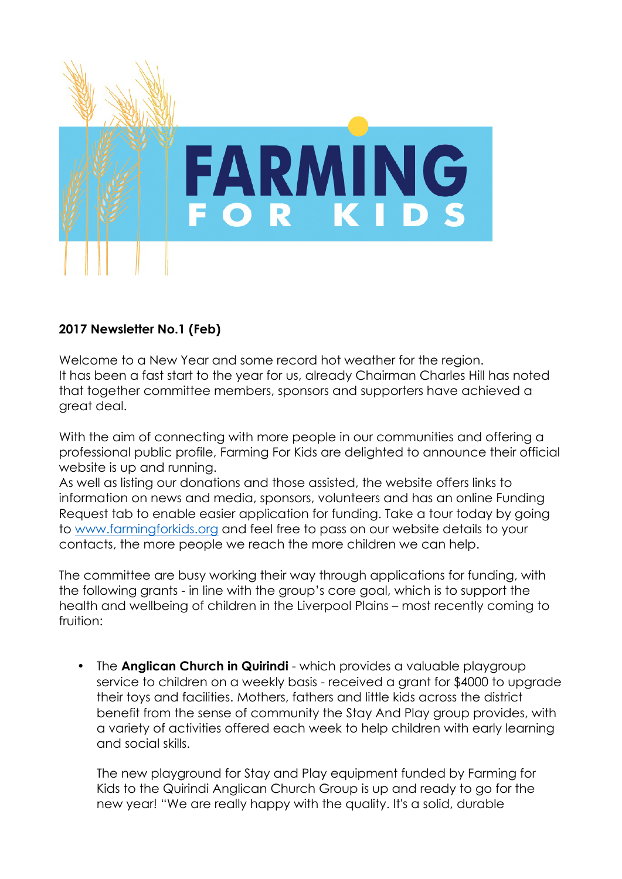

### **2017 Newsletter No.1 (Feb)**

Welcome to a New Year and some record hot weather for the region. It has been a fast start to the year for us, already Chairman Charles Hill has noted that together committee members, sponsors and supporters have achieved a great deal.

With the aim of connecting with more people in our communities and offering a professional public profile, Farming For Kids are delighted to announce their official website is up and running.

As well as listing our donations and those assisted, the website offers links to information on news and media, sponsors, volunteers and has an online Funding Request tab to enable easier application for funding. Take a tour today by going to www.farmingforkids.org and feel free to pass on our website details to your contacts, the more people we reach the more children we can help.

The committee are busy working their way through applications for funding, with the following grants - in line with the group's core goal, which is to support the health and wellbeing of children in the Liverpool Plains – most recently coming to fruition:

• The **Anglican Church in Quirindi** - which provides a valuable playgroup service to children on a weekly basis - received a grant for \$4000 to upgrade their toys and facilities. Mothers, fathers and little kids across the district benefit from the sense of community the Stay And Play group provides, with a variety of activities offered each week to help children with early learning and social skills.

The new playground for Stay and Play equipment funded by Farming for Kids to the Quirindi Anglican Church Group is up and ready to go for the new year! "We are really happy with the quality. It's a solid, durable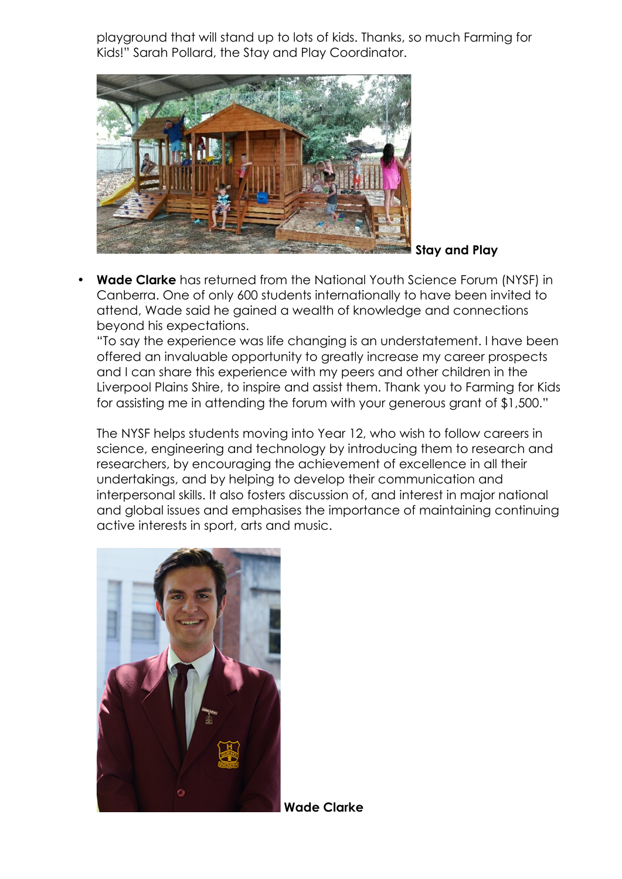playground that will stand up to lots of kids. Thanks, so much Farming for Kids!" Sarah Pollard, the Stay and Play Coordinator.



• **Wade Clarke** has returned from the National Youth Science Forum (NYSF) in Canberra. One of only 600 students internationally to have been invited to attend, Wade said he gained a wealth of knowledge and connections beyond his expectations.

"To say the experience was life changing is an understatement. I have been offered an invaluable opportunity to greatly increase my career prospects and I can share this experience with my peers and other children in the Liverpool Plains Shire, to inspire and assist them. Thank you to Farming for Kids for assisting me in attending the forum with your generous grant of \$1,500."

The NYSF helps students moving into Year 12, who wish to follow careers in science, engineering and technology by introducing them to research and researchers, by encouraging the achievement of excellence in all their undertakings, and by helping to develop their communication and interpersonal skills. It also fosters discussion of, and interest in major national and global issues and emphasises the importance of maintaining continuing active interests in sport, arts and music.



**Wade Clarke**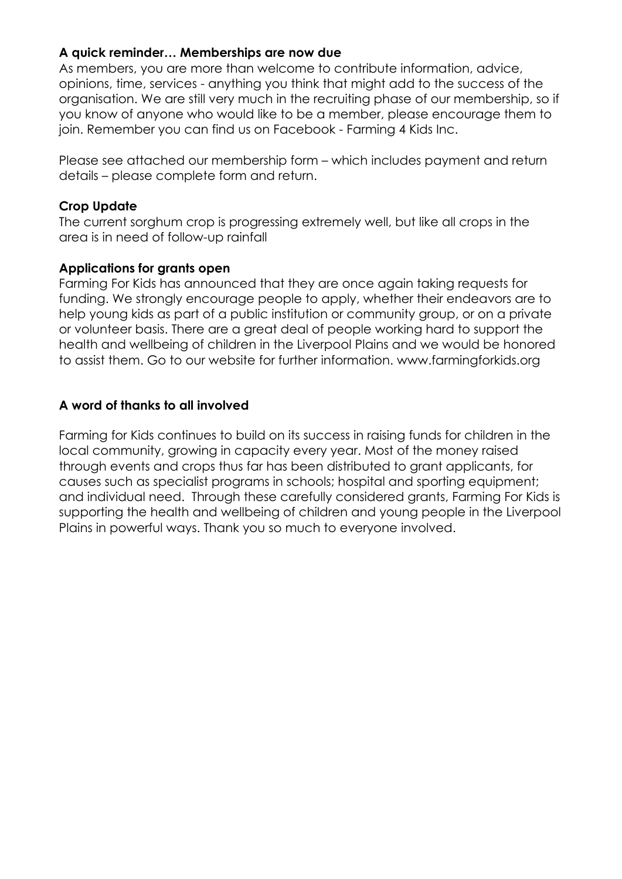#### **A quick reminder… Memberships are now due**

As members, you are more than welcome to contribute information, advice, opinions, time, services - anything you think that might add to the success of the organisation. We are still very much in the recruiting phase of our membership, so if you know of anyone who would like to be a member, please encourage them to join. Remember you can find us on Facebook - Farming 4 Kids Inc.

Please see attached our membership form – which includes payment and return details – please complete form and return.

#### **Crop Update**

The current sorghum crop is progressing extremely well, but like all crops in the area is in need of follow-up rainfall

#### **Applications for grants open**

Farming For Kids has announced that they are once again taking requests for funding. We strongly encourage people to apply, whether their endeavors are to help young kids as part of a public institution or community group, or on a private or volunteer basis. There are a great deal of people working hard to support the health and wellbeing of children in the Liverpool Plains and we would be honored to assist them. Go to our website for further information. www.farmingforkids.org

#### **A word of thanks to all involved**

Farming for Kids continues to build on its success in raising funds for children in the local community, growing in capacity every year. Most of the money raised through events and crops thus far has been distributed to grant applicants, for causes such as specialist programs in schools; hospital and sporting equipment; and individual need. Through these carefully considered grants, Farming For Kids is supporting the health and wellbeing of children and young people in the Liverpool Plains in powerful ways. Thank you so much to everyone involved.